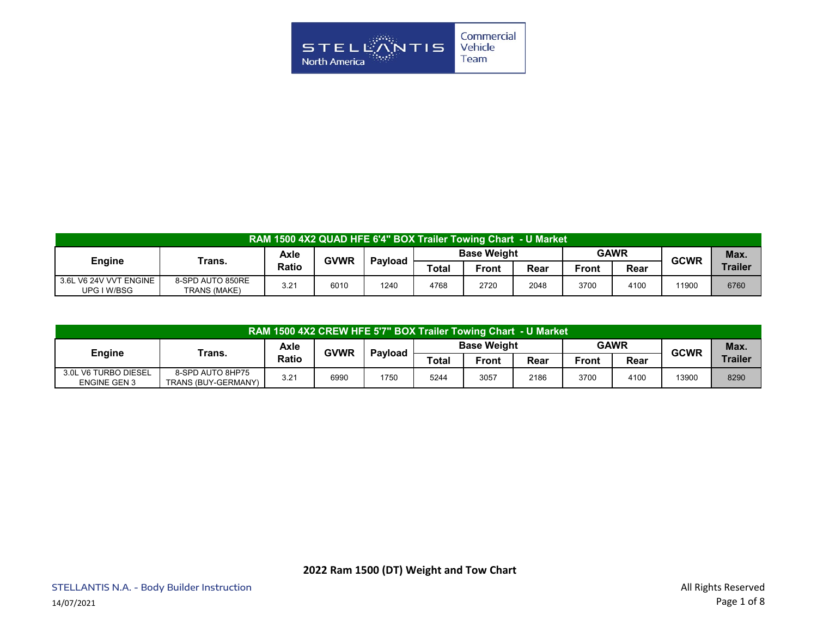

| RAM 1500 4X2 QUAD HFE 6'4" BOX Trailer Towing Chart - U Market |                                  |              |                                                     |      |       |             |      |              |      |       |                |
|----------------------------------------------------------------|----------------------------------|--------------|-----------------------------------------------------|------|-------|-------------|------|--------------|------|-------|----------------|
| <b>Engine</b>                                                  | Trans.                           | Axle         | <b>Base Weight</b><br><b>GVWR</b><br><b>Pavload</b> |      |       | <b>GAWR</b> |      | <b>GCWR</b>  | Max. |       |                |
|                                                                |                                  | <b>Ratio</b> |                                                     |      | Total | Front       | Rear | <b>Front</b> | Rear |       | <b>Trailer</b> |
| 3.6L V6 24V VVT ENGINE<br>UPG I W/BSG                          | 8-SPD AUTO 850RE<br>TRANS (MAKE) | 3.21         | 6010                                                | 1240 | 4768  | 2720        | 2048 | 3700         | 4100 | 11900 | 6760           |

| RAM 1500 4X2 CREW HFE 5'7" BOX Trailer Towing Chart - U Market |                                         |              |      |                                              |             |       |             |       |             |       |         |
|----------------------------------------------------------------|-----------------------------------------|--------------|------|----------------------------------------------|-------------|-------|-------------|-------|-------------|-------|---------|
|                                                                | Trans.                                  | Axle         |      | <b>Base Weight</b><br><b>GVWR</b><br>Pavload |             |       | <b>GAWR</b> |       | <b>GCWR</b> | Max.  |         |
| <b>Engine</b>                                                  |                                         | <b>Ratio</b> |      |                                              | $\tau$ otal | Front | Rear        | Front | Rear        |       | Trailer |
| 3.0L V6 TURBO DIESEL<br><b>ENGINE GEN 3</b>                    | 8-SPD AUTO 8HP75<br>TRANS (BUY-GERMANY) | 3.21         | 6990 | 1750                                         | 5244        | 3057  | 2186        | 3700  | 4100        | 13900 | 8290    |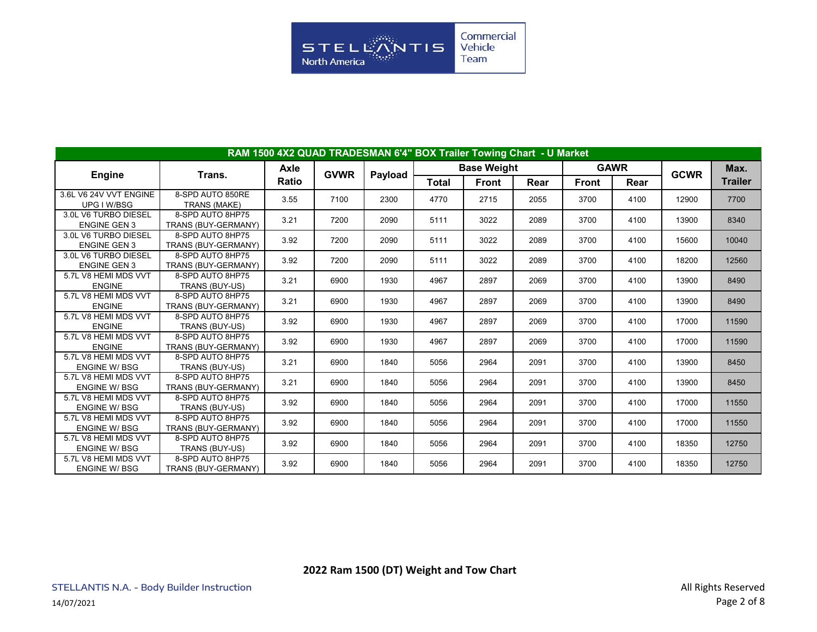

|                                             | RAM 1500 4X2 QUAD TRADESMAN 6'4" BOX Trailer Towing Chart - U Market |              |             |         |              |                    |      |              |             |             |                |
|---------------------------------------------|----------------------------------------------------------------------|--------------|-------------|---------|--------------|--------------------|------|--------------|-------------|-------------|----------------|
|                                             |                                                                      | Axle         |             |         |              | <b>Base Weight</b> |      |              | <b>GAWR</b> |             | Max.           |
| <b>Engine</b>                               | Trans.                                                               | <b>Ratio</b> | <b>GVWR</b> | Payload | <b>Total</b> | <b>Front</b>       | Rear | <b>Front</b> | Rear        | <b>GCWR</b> | <b>Trailer</b> |
| 3.6L V6 24V VVT ENGINE<br>UPG I W/BSG       | 8-SPD AUTO 850RE<br>TRANS (MAKE)                                     | 3.55         | 7100        | 2300    | 4770         | 2715               | 2055 | 3700         | 4100        | 12900       | 7700           |
| 3.0L V6 TURBO DIESEL<br><b>ENGINE GEN 3</b> | 8-SPD AUTO 8HP75<br>TRANS (BUY-GERMANY)                              | 3.21         | 7200        | 2090    | 5111         | 3022               | 2089 | 3700         | 4100        | 13900       | 8340           |
| 3.0L V6 TURBO DIESEL<br><b>ENGINE GEN 3</b> | 8-SPD AUTO 8HP75<br>TRANS (BUY-GERMANY)                              | 3.92         | 7200        | 2090    | 5111         | 3022               | 2089 | 3700         | 4100        | 15600       | 10040          |
| 3.0L V6 TURBO DIESEL<br><b>ENGINE GEN 3</b> | 8-SPD AUTO 8HP75<br>TRANS (BUY-GERMANY)                              | 3.92         | 7200        | 2090    | 5111         | 3022               | 2089 | 3700         | 4100        | 18200       | 12560          |
| 5.7L V8 HEMI MDS VVT<br><b>ENGINE</b>       | 8-SPD AUTO 8HP75<br>TRANS (BUY-US)                                   | 3.21         | 6900        | 1930    | 4967         | 2897               | 2069 | 3700         | 4100        | 13900       | 8490           |
| 5.7L V8 HEMI MDS VVT<br><b>ENGINE</b>       | 8-SPD AUTO 8HP75<br>TRANS (BUY-GERMANY)                              | 3.21         | 6900        | 1930    | 4967         | 2897               | 2069 | 3700         | 4100        | 13900       | 8490           |
| 5.7L V8 HEMI MDS VVT<br><b>ENGINE</b>       | 8-SPD AUTO 8HP75<br>TRANS (BUY-US)                                   | 3.92         | 6900        | 1930    | 4967         | 2897               | 2069 | 3700         | 4100        | 17000       | 11590          |
| 5.7L V8 HEMI MDS VVT<br><b>ENGINE</b>       | 8-SPD AUTO 8HP75<br>TRANS (BUY-GERMANY)                              | 3.92         | 6900        | 1930    | 4967         | 2897               | 2069 | 3700         | 4100        | 17000       | 11590          |
| 5.7L V8 HEMI MDS VVT<br><b>ENGINE W/BSG</b> | 8-SPD AUTO 8HP75<br>TRANS (BUY-US)                                   | 3.21         | 6900        | 1840    | 5056         | 2964               | 2091 | 3700         | 4100        | 13900       | 8450           |
| 5.7L V8 HEMI MDS VVT<br><b>ENGINE W/BSG</b> | 8-SPD AUTO 8HP75<br>TRANS (BUY-GERMANY)                              | 3.21         | 6900        | 1840    | 5056         | 2964               | 2091 | 3700         | 4100        | 13900       | 8450           |
| 5.7L V8 HEMI MDS VVT<br><b>ENGINE W/BSG</b> | 8-SPD AUTO 8HP75<br>TRANS (BUY-US)                                   | 3.92         | 6900        | 1840    | 5056         | 2964               | 2091 | 3700         | 4100        | 17000       | 11550          |
| 5.7L V8 HEMI MDS VVT<br><b>ENGINE W/BSG</b> | 8-SPD AUTO 8HP75<br>TRANS (BUY-GERMANY)                              | 3.92         | 6900        | 1840    | 5056         | 2964               | 2091 | 3700         | 4100        | 17000       | 11550          |
| 5.7L V8 HEMI MDS VVT<br><b>ENGINE W/BSG</b> | 8-SPD AUTO 8HP75<br>TRANS (BUY-US)                                   | 3.92         | 6900        | 1840    | 5056         | 2964               | 2091 | 3700         | 4100        | 18350       | 12750          |
| 5.7L V8 HEMI MDS VVT<br><b>ENGINE W/BSG</b> | 8-SPD AUTO 8HP75<br>TRANS (BUY-GERMANY)                              | 3.92         | 6900        | 1840    | 5056         | 2964               | 2091 | 3700         | 4100        | 18350       | 12750          |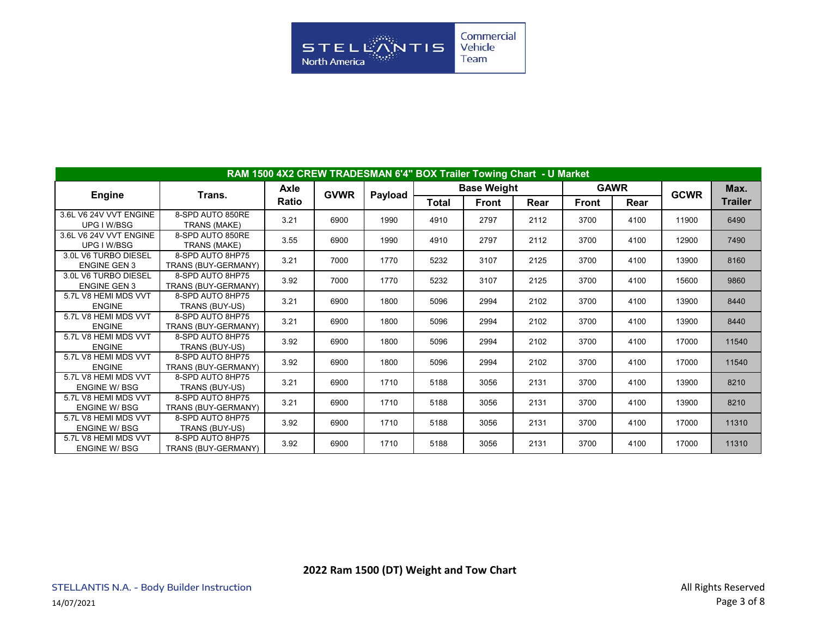

|                                             | RAM 1500 4X2 CREW TRADESMAN 6'4" BOX Trailer Towing Chart - U Market |              |             |         |              |                    |      |              |             |             |                |
|---------------------------------------------|----------------------------------------------------------------------|--------------|-------------|---------|--------------|--------------------|------|--------------|-------------|-------------|----------------|
|                                             |                                                                      | Axle         | <b>GVWR</b> |         |              | <b>Base Weight</b> |      |              | <b>GAWR</b> | <b>GCWR</b> | Max.           |
| <b>Engine</b>                               | Trans.                                                               | <b>Ratio</b> |             | Payload | <b>Total</b> | Front              | Rear | <b>Front</b> | Rear        |             | <b>Trailer</b> |
| 3.6L V6 24V VVT ENGINE<br>UPG I W/BSG       | 8-SPD AUTO 850RE<br>TRANS (MAKE)                                     | 3.21         | 6900        | 1990    | 4910         | 2797               | 2112 | 3700         | 4100        | 11900       | 6490           |
| 3.6L V6 24V VVT ENGINE<br>UPG I W/BSG       | 8-SPD AUTO 850RE<br>TRANS (MAKE)                                     | 3.55         | 6900        | 1990    | 4910         | 2797               | 2112 | 3700         | 4100        | 12900       | 7490           |
| 3.0L V6 TURBO DIESEL<br><b>ENGINE GEN 3</b> | 8-SPD AUTO 8HP75<br>TRANS (BUY-GERMANY)                              | 3.21         | 7000        | 1770    | 5232         | 3107               | 2125 | 3700         | 4100        | 13900       | 8160           |
| 3.0L V6 TURBO DIESEL<br><b>ENGINE GEN 3</b> | 8-SPD AUTO 8HP75<br>TRANS (BUY-GERMANY)                              | 3.92         | 7000        | 1770    | 5232         | 3107               | 2125 | 3700         | 4100        | 15600       | 9860           |
| 5.7L V8 HEMI MDS VVT<br><b>ENGINE</b>       | 8-SPD AUTO 8HP75<br>TRANS (BUY-US)                                   | 3.21         | 6900        | 1800    | 5096         | 2994               | 2102 | 3700         | 4100        | 13900       | 8440           |
| 5.7L V8 HEMI MDS VVT<br><b>ENGINE</b>       | 8-SPD AUTO 8HP75<br>TRANS (BUY-GERMANY)                              | 3.21         | 6900        | 1800    | 5096         | 2994               | 2102 | 3700         | 4100        | 13900       | 8440           |
| 5.7L V8 HEMI MDS VVT<br><b>ENGINE</b>       | 8-SPD AUTO 8HP75<br>TRANS (BUY-US)                                   | 3.92         | 6900        | 1800    | 5096         | 2994               | 2102 | 3700         | 4100        | 17000       | 11540          |
| 5.7L V8 HEMI MDS VVT<br><b>ENGINE</b>       | 8-SPD AUTO 8HP75<br>TRANS (BUY-GERMANY)                              | 3.92         | 6900        | 1800    | 5096         | 2994               | 2102 | 3700         | 4100        | 17000       | 11540          |
| 5.7L V8 HEMI MDS VVT<br><b>ENGINE W/BSG</b> | 8-SPD AUTO 8HP75<br>TRANS (BUY-US)                                   | 3.21         | 6900        | 1710    | 5188         | 3056               | 2131 | 3700         | 4100        | 13900       | 8210           |
| 5.7L V8 HEMI MDS VVT<br><b>ENGINE W/BSG</b> | 8-SPD AUTO 8HP75<br>TRANS (BUY-GERMANY)                              | 3.21         | 6900        | 1710    | 5188         | 3056               | 2131 | 3700         | 4100        | 13900       | 8210           |
| 5.7L V8 HEMI MDS VVT<br><b>ENGINE W/BSG</b> | 8-SPD AUTO 8HP75<br>TRANS (BUY-US)                                   | 3.92         | 6900        | 1710    | 5188         | 3056               | 2131 | 3700         | 4100        | 17000       | 11310          |
| 5.7L V8 HEMI MDS VVT<br><b>ENGINE W/BSG</b> | 8-SPD AUTO 8HP75<br>TRANS (BUY-GERMANY)                              | 3.92         | 6900        | 1710    | 5188         | 3056               | 2131 | 3700         | 4100        | 17000       | 11310          |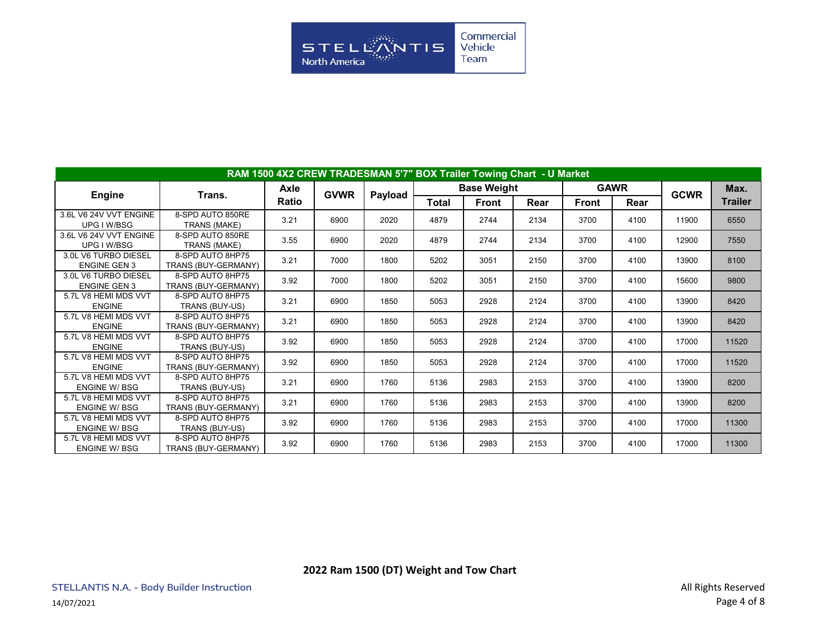

|                                             | RAM 1500 4X2 CREW TRADESMAN 5'7" BOX Trailer Towing Chart - U Market |             |             |         |              |                    |      |              |             |             |                |
|---------------------------------------------|----------------------------------------------------------------------|-------------|-------------|---------|--------------|--------------------|------|--------------|-------------|-------------|----------------|
|                                             |                                                                      | <b>Axle</b> |             |         |              | <b>Base Weight</b> |      |              | <b>GAWR</b> |             | Max.           |
| <b>Engine</b>                               | Trans.                                                               | Ratio       | <b>GVWR</b> | Payload | <b>Total</b> | Front              | Rear | <b>Front</b> | Rear        | <b>GCWR</b> | <b>Trailer</b> |
| 3.6L V6 24V VVT ENGINE<br>UPG I W/BSG       | 8-SPD AUTO 850RE<br><b>TRANS (MAKE)</b>                              | 3.21        | 6900        | 2020    | 4879         | 2744               | 2134 | 3700         | 4100        | 11900       | 6550           |
| 3.6L V6 24V VVT ENGINE<br>UPG I W/BSG       | 8-SPD AUTO 850RE<br>TRANS (MAKE)                                     | 3.55        | 6900        | 2020    | 4879         | 2744               | 2134 | 3700         | 4100        | 12900       | 7550           |
| 3.0L V6 TURBO DIESEL<br><b>ENGINE GEN 3</b> | 8-SPD AUTO 8HP75<br>TRANS (BUY-GERMANY)                              | 3.21        | 7000        | 1800    | 5202         | 3051               | 2150 | 3700         | 4100        | 13900       | 8100           |
| 3.0L V6 TURBO DIESEL<br><b>ENGINE GEN 3</b> | 8-SPD AUTO 8HP75<br>TRANS (BUY-GERMANY)                              | 3.92        | 7000        | 1800    | 5202         | 3051               | 2150 | 3700         | 4100        | 15600       | 9800           |
| 5.7L V8 HEMI MDS VVT<br><b>ENGINE</b>       | 8-SPD AUTO 8HP75<br>TRANS (BUY-US)                                   | 3.21        | 6900        | 1850    | 5053         | 2928               | 2124 | 3700         | 4100        | 13900       | 8420           |
| 5.7L V8 HEMI MDS VVT<br><b>ENGINE</b>       | 8-SPD AUTO 8HP75<br>TRANS (BUY-GERMANY)                              | 3.21        | 6900        | 1850    | 5053         | 2928               | 2124 | 3700         | 4100        | 13900       | 8420           |
| 5.7L V8 HEMI MDS VVT<br><b>ENGINE</b>       | 8-SPD AUTO 8HP75<br>TRANS (BUY-US)                                   | 3.92        | 6900        | 1850    | 5053         | 2928               | 2124 | 3700         | 4100        | 17000       | 11520          |
| 5.7L V8 HEMI MDS VVT<br><b>ENGINE</b>       | 8-SPD AUTO 8HP75<br>TRANS (BUY-GERMANY)                              | 3.92        | 6900        | 1850    | 5053         | 2928               | 2124 | 3700         | 4100        | 17000       | 11520          |
| 5.7L V8 HEMI MDS VVT<br><b>ENGINE W/BSG</b> | 8-SPD AUTO 8HP75<br>TRANS (BUY-US)                                   | 3.21        | 6900        | 1760    | 5136         | 2983               | 2153 | 3700         | 4100        | 13900       | 8200           |
| 5.7L V8 HEMI MDS VVT<br><b>ENGINE W/BSG</b> | 8-SPD AUTO 8HP75<br>TRANS (BUY-GERMANY)                              | 3.21        | 6900        | 1760    | 5136         | 2983               | 2153 | 3700         | 4100        | 13900       | 8200           |
| 5.7L V8 HEMI MDS VVT<br><b>ENGINE W/BSG</b> | 8-SPD AUTO 8HP75<br>TRANS (BUY-US)                                   | 3.92        | 6900        | 1760    | 5136         | 2983               | 2153 | 3700         | 4100        | 17000       | 11300          |
| 5.7L V8 HEMI MDS VVT<br><b>ENGINE W/BSG</b> | 8-SPD AUTO 8HP75<br>TRANS (BUY-GERMANY)                              | 3.92        | 6900        | 1760    | 5136         | 2983               | 2153 | 3700         | 4100        | 17000       | 11300          |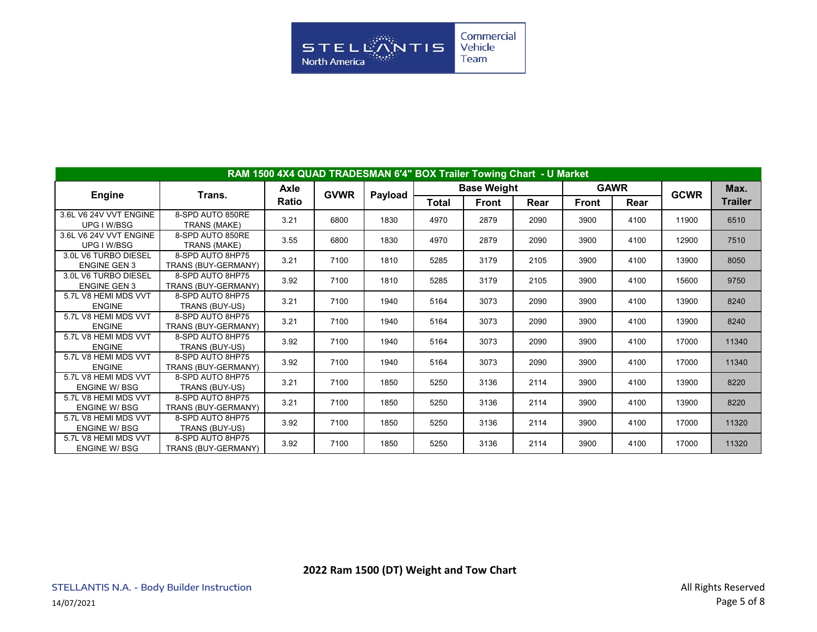

|                                             | RAM 1500 4X4 QUAD TRADESMAN 6'4" BOX Trailer Towing Chart - U Market |             |             |         |              |                    |      |       |             |             |                |
|---------------------------------------------|----------------------------------------------------------------------|-------------|-------------|---------|--------------|--------------------|------|-------|-------------|-------------|----------------|
|                                             |                                                                      | <b>Axle</b> | <b>GVWR</b> |         |              | <b>Base Weight</b> |      |       | <b>GAWR</b> | <b>GCWR</b> | Max.           |
| <b>Engine</b>                               | Trans.                                                               | Ratio       |             | Payload | <b>Total</b> | Front              | Rear | Front | Rear        |             | <b>Trailer</b> |
| 3.6L V6 24V VVT ENGINE<br>UPG I W/BSG       | 8-SPD AUTO 850RE<br>TRANS (MAKE)                                     | 3.21        | 6800        | 1830    | 4970         | 2879               | 2090 | 3900  | 4100        | 11900       | 6510           |
| 3.6L V6 24V VVT ENGINE<br>UPG I W/BSG       | 8-SPD AUTO 850RE<br>TRANS (MAKE)                                     | 3.55        | 6800        | 1830    | 4970         | 2879               | 2090 | 3900  | 4100        | 12900       | 7510           |
| 3.0L V6 TURBO DIESEL<br><b>ENGINE GEN 3</b> | 8-SPD AUTO 8HP75<br>TRANS (BUY-GERMANY)                              | 3.21        | 7100        | 1810    | 5285         | 3179               | 2105 | 3900  | 4100        | 13900       | 8050           |
| 3.0L V6 TURBO DIESEL<br><b>ENGINE GEN 3</b> | 8-SPD AUTO 8HP75<br>TRANS (BUY-GERMANY)                              | 3.92        | 7100        | 1810    | 5285         | 3179               | 2105 | 3900  | 4100        | 15600       | 9750           |
| 5.7L V8 HEMI MDS VVT<br><b>ENGINE</b>       | 8-SPD AUTO 8HP75<br>TRANS (BUY-US)                                   | 3.21        | 7100        | 1940    | 5164         | 3073               | 2090 | 3900  | 4100        | 13900       | 8240           |
| 5.7L V8 HEMI MDS VVT<br><b>ENGINE</b>       | 8-SPD AUTO 8HP75<br>TRANS (BUY-GERMANY)                              | 3.21        | 7100        | 1940    | 5164         | 3073               | 2090 | 3900  | 4100        | 13900       | 8240           |
| 5.7L V8 HEMI MDS VVT<br><b>ENGINE</b>       | 8-SPD AUTO 8HP75<br>TRANS (BUY-US)                                   | 3.92        | 7100        | 1940    | 5164         | 3073               | 2090 | 3900  | 4100        | 17000       | 11340          |
| 5.7L V8 HEMI MDS VVT<br><b>ENGINE</b>       | 8-SPD AUTO 8HP75<br>TRANS (BUY-GERMANY)                              | 3.92        | 7100        | 1940    | 5164         | 3073               | 2090 | 3900  | 4100        | 17000       | 11340          |
| 5.7L V8 HEMI MDS VVT<br><b>ENGINE W/BSG</b> | 8-SPD AUTO 8HP75<br>TRANS (BUY-US)                                   | 3.21        | 7100        | 1850    | 5250         | 3136               | 2114 | 3900  | 4100        | 13900       | 8220           |
| 5.7L V8 HEMI MDS VVT<br><b>ENGINE W/BSG</b> | 8-SPD AUTO 8HP75<br>TRANS (BUY-GERMANY)                              | 3.21        | 7100        | 1850    | 5250         | 3136               | 2114 | 3900  | 4100        | 13900       | 8220           |
| 5.7L V8 HEMI MDS VVT<br><b>ENGINE W/BSG</b> | 8-SPD AUTO 8HP75<br>TRANS (BUY-US)                                   | 3.92        | 7100        | 1850    | 5250         | 3136               | 2114 | 3900  | 4100        | 17000       | 11320          |
| 5.7L V8 HEMI MDS VVT<br><b>ENGINE W/BSG</b> | 8-SPD AUTO 8HP75<br>TRANS (BUY-GERMANY)                              | 3.92        | 7100        | 1850    | 5250         | 3136               | 2114 | 3900  | 4100        | 17000       | 11320          |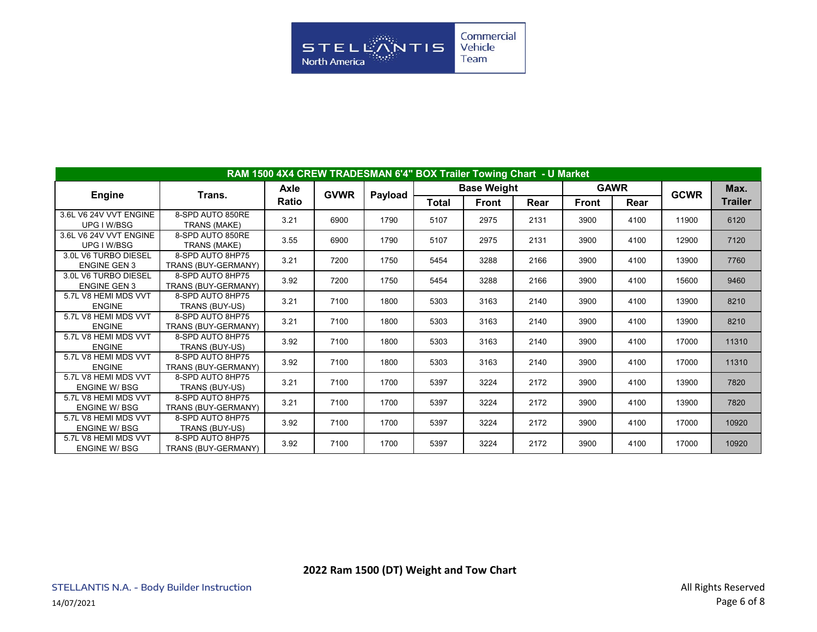

|                                             | RAM 1500 4X4 CREW TRADESMAN 6'4" BOX Trailer Towing Chart - U Market |             |             |         |       |                    |      |       |             |             |                |
|---------------------------------------------|----------------------------------------------------------------------|-------------|-------------|---------|-------|--------------------|------|-------|-------------|-------------|----------------|
|                                             |                                                                      | <b>Axle</b> | <b>GVWR</b> |         |       | <b>Base Weight</b> |      |       | <b>GAWR</b> | <b>GCWR</b> | Max.           |
| <b>Engine</b>                               | Trans.                                                               | Ratio       |             | Payload | Total | Front              | Rear | Front | Rear        |             | <b>Trailer</b> |
| 3.6L V6 24V VVT ENGINE<br>UPG I W/BSG       | 8-SPD AUTO 850RE<br>TRANS (MAKE)                                     | 3.21        | 6900        | 1790    | 5107  | 2975               | 2131 | 3900  | 4100        | 11900       | 6120           |
| 3.6L V6 24V VVT ENGINE<br>UPG I W/BSG       | 8-SPD AUTO 850RE<br>TRANS (MAKE)                                     | 3.55        | 6900        | 1790    | 5107  | 2975               | 2131 | 3900  | 4100        | 12900       | 7120           |
| 3.0L V6 TURBO DIESEL<br><b>ENGINE GEN 3</b> | 8-SPD AUTO 8HP75<br>TRANS (BUY-GERMANY)                              | 3.21        | 7200        | 1750    | 5454  | 3288               | 2166 | 3900  | 4100        | 13900       | 7760           |
| 3.0L V6 TURBO DIESEL<br><b>ENGINE GEN 3</b> | 8-SPD AUTO 8HP75<br>TRANS (BUY-GERMANY)                              | 3.92        | 7200        | 1750    | 5454  | 3288               | 2166 | 3900  | 4100        | 15600       | 9460           |
| 5.7L V8 HEMI MDS VVT<br><b>ENGINE</b>       | 8-SPD AUTO 8HP75<br>TRANS (BUY-US)                                   | 3.21        | 7100        | 1800    | 5303  | 3163               | 2140 | 3900  | 4100        | 13900       | 8210           |
| 5.7L V8 HEMI MDS VVT<br><b>ENGINE</b>       | 8-SPD AUTO 8HP75<br>TRANS (BUY-GERMANY)                              | 3.21        | 7100        | 1800    | 5303  | 3163               | 2140 | 3900  | 4100        | 13900       | 8210           |
| 5.7L V8 HEMI MDS VVT<br><b>ENGINE</b>       | 8-SPD AUTO 8HP75<br>TRANS (BUY-US)                                   | 3.92        | 7100        | 1800    | 5303  | 3163               | 2140 | 3900  | 4100        | 17000       | 11310          |
| 5.7L V8 HEMI MDS VVT<br><b>ENGINE</b>       | 8-SPD AUTO 8HP75<br>TRANS (BUY-GERMANY)                              | 3.92        | 7100        | 1800    | 5303  | 3163               | 2140 | 3900  | 4100        | 17000       | 11310          |
| 5.7L V8 HEMI MDS VVT<br><b>ENGINE W/BSG</b> | 8-SPD AUTO 8HP75<br>TRANS (BUY-US)                                   | 3.21        | 7100        | 1700    | 5397  | 3224               | 2172 | 3900  | 4100        | 13900       | 7820           |
| 5.7L V8 HEMI MDS VVT<br><b>ENGINE W/BSG</b> | 8-SPD AUTO 8HP75<br>TRANS (BUY-GERMANY)                              | 3.21        | 7100        | 1700    | 5397  | 3224               | 2172 | 3900  | 4100        | 13900       | 7820           |
| 5.7L V8 HEMI MDS VVT<br><b>ENGINE W/BSG</b> | 8-SPD AUTO 8HP75<br>TRANS (BUY-US)                                   | 3.92        | 7100        | 1700    | 5397  | 3224               | 2172 | 3900  | 4100        | 17000       | 10920          |
| 5.7L V8 HEMI MDS VVT<br><b>ENGINE W/BSG</b> | 8-SPD AUTO 8HP75<br>TRANS (BUY-GERMANY)                              | 3.92        | 7100        | 1700    | 5397  | 3224               | 2172 | 3900  | 4100        | 17000       | 10920          |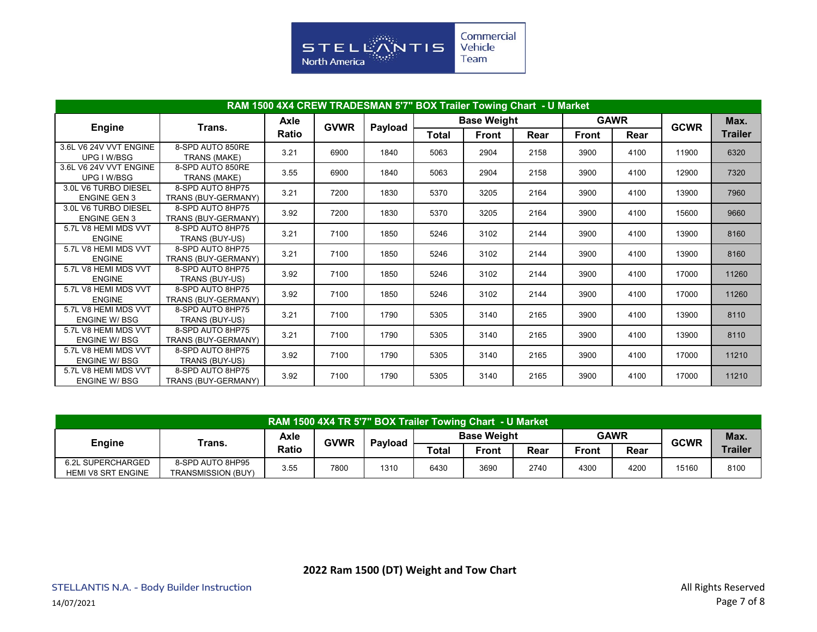

|                                             | RAM 1500 4X4 CREW TRADESMAN 5'7" BOX Trailer Towing Chart - U Market |             |             |         |       |                    |      |       |             |             |                |
|---------------------------------------------|----------------------------------------------------------------------|-------------|-------------|---------|-------|--------------------|------|-------|-------------|-------------|----------------|
|                                             |                                                                      | <b>Axle</b> |             |         |       | <b>Base Weight</b> |      |       | <b>GAWR</b> |             | Max.           |
| <b>Engine</b>                               | Trans.                                                               | Ratio       | <b>GVWR</b> | Payload | Total | <b>Front</b>       | Rear | Front | Rear        | <b>GCWR</b> | <b>Trailer</b> |
| 3.6L V6 24V VVT ENGINE<br>UPG I W/BSG       | 8-SPD AUTO 850RE<br>TRANS (MAKE)                                     | 3.21        | 6900        | 1840    | 5063  | 2904               | 2158 | 3900  | 4100        | 11900       | 6320           |
| 3.6L V6 24V VVT ENGINE<br>UPG I W/BSG       | 8-SPD AUTO 850RE<br>TRANS (MAKE)                                     | 3.55        | 6900        | 1840    | 5063  | 2904               | 2158 | 3900  | 4100        | 12900       | 7320           |
| 3.0L V6 TURBO DIESEL<br><b>ENGINE GEN 3</b> | 8-SPD AUTO 8HP75<br>TRANS (BUY-GERMANY)                              | 3.21        | 7200        | 1830    | 5370  | 3205               | 2164 | 3900  | 4100        | 13900       | 7960           |
| 3.0L V6 TURBO DIESEL<br><b>ENGINE GEN 3</b> | 8-SPD AUTO 8HP75<br>TRANS (BUY-GERMANY)                              | 3.92        | 7200        | 1830    | 5370  | 3205               | 2164 | 3900  | 4100        | 15600       | 9660           |
| 5.7L V8 HEMI MDS VVT<br><b>ENGINE</b>       | 8-SPD AUTO 8HP75<br>TRANS (BUY-US)                                   | 3.21        | 7100        | 1850    | 5246  | 3102               | 2144 | 3900  | 4100        | 13900       | 8160           |
| 5.7L V8 HEMI MDS VVT<br><b>ENGINE</b>       | 8-SPD AUTO 8HP75<br>TRANS (BUY-GERMANY)                              | 3.21        | 7100        | 1850    | 5246  | 3102               | 2144 | 3900  | 4100        | 13900       | 8160           |
| 5.7L V8 HEMI MDS VVT<br><b>ENGINE</b>       | 8-SPD AUTO 8HP75<br>TRANS (BUY-US)                                   | 3.92        | 7100        | 1850    | 5246  | 3102               | 2144 | 3900  | 4100        | 17000       | 11260          |
| 5.7L V8 HEMI MDS VVT<br><b>ENGINE</b>       | 8-SPD AUTO 8HP75<br>TRANS (BUY-GERMANY)                              | 3.92        | 7100        | 1850    | 5246  | 3102               | 2144 | 3900  | 4100        | 17000       | 11260          |
| 5.7L V8 HEMI MDS VVT<br><b>ENGINE W/BSG</b> | 8-SPD AUTO 8HP75<br>TRANS (BUY-US)                                   | 3.21        | 7100        | 1790    | 5305  | 3140               | 2165 | 3900  | 4100        | 13900       | 8110           |
| 5.7L V8 HEMI MDS VVT<br><b>ENGINE W/BSG</b> | 8-SPD AUTO 8HP75<br>TRANS (BUY-GERMANY)                              | 3.21        | 7100        | 1790    | 5305  | 3140               | 2165 | 3900  | 4100        | 13900       | 8110           |
| 5.7L V8 HEMI MDS VVT<br><b>ENGINE W/BSG</b> | 8-SPD AUTO 8HP75<br>TRANS (BUY-US)                                   | 3.92        | 7100        | 1790    | 5305  | 3140               | 2165 | 3900  | 4100        | 17000       | 11210          |
| 5.7L V8 HEMI MDS VVT<br><b>ENGINE W/BSG</b> | 8-SPD AUTO 8HP75<br>TRANS (BUY-GERMANY)                              | 3.92        | 7100        | 1790    | 5305  | 3140               | 2165 | 3900  | 4100        | 17000       | 11210          |

|                           |                           |       |             | RAM 1500 4X4 TR 5'7" BOX Trailer Towing Chart - U Market |       |                                   |      |              |      |       |                |
|---------------------------|---------------------------|-------|-------------|----------------------------------------------------------|-------|-----------------------------------|------|--------------|------|-------|----------------|
|                           | Trans.                    | Axle  | <b>GVWR</b> | <b>Pavload</b>                                           |       | <b>GAWR</b><br><b>Base Weight</b> |      | <b>GCWR</b>  | Max. |       |                |
| <b>Engine</b>             |                           | Ratio |             |                                                          | Total | <b>Front</b>                      | Rear | <b>Front</b> | Rear |       | <b>Trailer</b> |
| 6.2L SUPERCHARGED         | 8-SPD AUTO 8HP95          | 3.55  | 7800        | 1310                                                     | 6430  | 3690                              | 2740 | 4300         | 4200 | 15160 | 8100           |
| <b>HEMI V8 SRT ENGINE</b> | <b>TRANSMISSION (BUY)</b> |       |             |                                                          |       |                                   |      |              |      |       |                |

**2022 Ram 1500 (DT) Weight and Tow Chart**